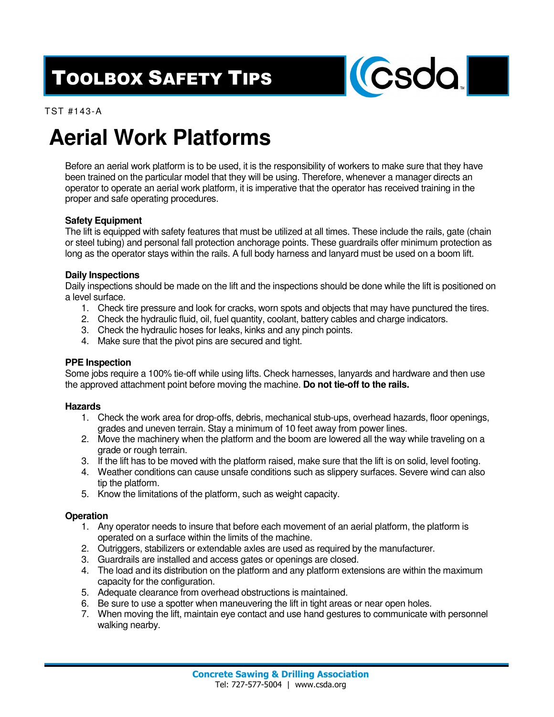## TOOLBOX SAFETY TIPS



TST #143-A

# **Aerial Work Platforms**

Before an aerial work platform is to be used, it is the responsibility of workers to make sure that they have been trained on the particular model that they will be using. Therefore, whenever a manager directs an operator to operate an aerial work platform, it is imperative that the operator has received training in the proper and safe operating procedures.

### **Safety Equipment**

The lift is equipped with safety features that must be utilized at all times. These include the rails, gate (chain or steel tubing) and personal fall protection anchorage points. These guardrails offer minimum protection as long as the operator stays within the rails. A full body harness and lanyard must be used on a boom lift.

#### **Daily Inspections**

Daily inspections should be made on the lift and the inspections should be done while the lift is positioned on a level surface.

- 1. Check tire pressure and look for cracks, worn spots and objects that may have punctured the tires.
- 2. Check the hydraulic fluid, oil, fuel quantity, coolant, battery cables and charge indicators.
- 3. Check the hydraulic hoses for leaks, kinks and any pinch points.
- 4. Make sure that the pivot pins are secured and tight.

#### **PPE Inspection**

Some jobs require a 100% tie-off while using lifts. Check harnesses, lanyards and hardware and then use the approved attachment point before moving the machine. **Do not tie-off to the rails.**

#### **Hazards**

- 1. Check the work area for drop-offs, debris, mechanical stub-ups, overhead hazards, floor openings, grades and uneven terrain. Stay a minimum of 10 feet away from power lines.
- 2. Move the machinery when the platform and the boom are lowered all the way while traveling on a grade or rough terrain.
- 3. If the lift has to be moved with the platform raised, make sure that the lift is on solid, level footing.
- 4. Weather conditions can cause unsafe conditions such as slippery surfaces. Severe wind can also tip the platform.
- 5. Know the limitations of the platform, such as weight capacity.

#### **Operation**

- 1. Any operator needs to insure that before each movement of an aerial platform, the platform is operated on a surface within the limits of the machine.
- 2. Outriggers, stabilizers or extendable axles are used as required by the manufacturer.
- 3. Guardrails are installed and access gates or openings are closed.
- 4. The load and its distribution on the platform and any platform extensions are within the maximum capacity for the configuration.
- 5. Adequate clearance from overhead obstructions is maintained.
- 6. Be sure to use a spotter when maneuvering the lift in tight areas or near open holes.
- 7. When moving the lift, maintain eye contact and use hand gestures to communicate with personnel walking nearby.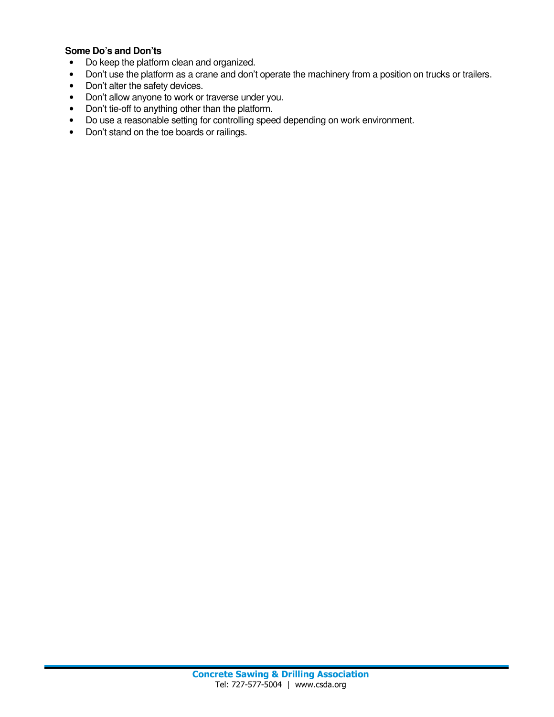### **Some Do's and Don'ts**

- Do keep the platform clean and organized.
- Don't use the platform as a crane and don't operate the machinery from a position on trucks or trailers.
- Don't alter the safety devices.
- Don't allow anyone to work or traverse under you.
- Don't tie-off to anything other than the platform.
- Do use a reasonable setting for controlling speed depending on work environment.
- Don't stand on the toe boards or railings.